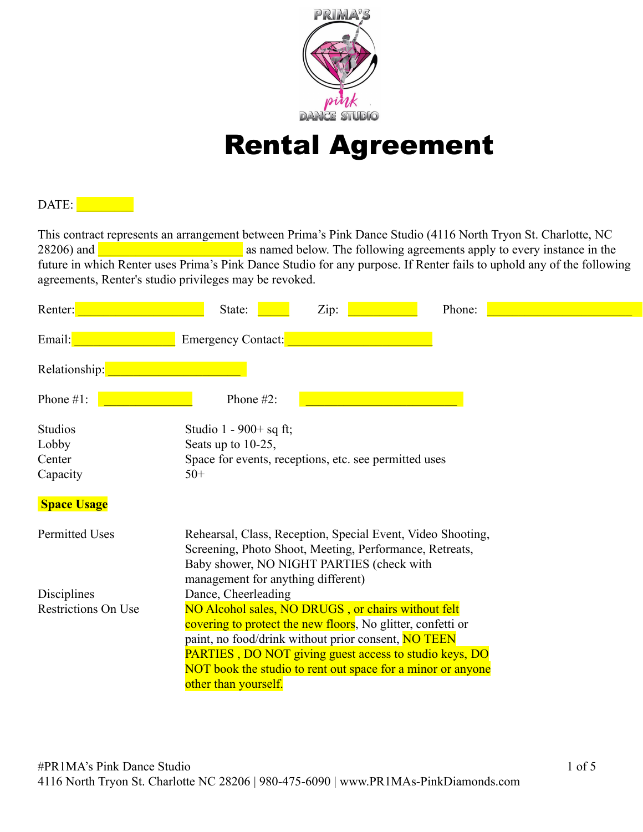

# Rental Agreement

## DATE:

This contract represents an arrangement between Prima's Pink Dance Studio (4116 North Tryon St. Charlotte, NC 28206) and **a large structure in the set of as named below**. The following agreements apply to every instance in the future in which Renter uses Prima's Pink Dance Studio for any purpose. If Renter fails to uphold any of the following agreements, Renter's studio privileges may be revoked.

| Renter:                    | Zip:<br>Phone:<br>State:                                                                                                                                                                                                                                                                                                         |
|----------------------------|----------------------------------------------------------------------------------------------------------------------------------------------------------------------------------------------------------------------------------------------------------------------------------------------------------------------------------|
| Email:                     | Emergency Contact:                                                                                                                                                                                                                                                                                                               |
| Relationship:              |                                                                                                                                                                                                                                                                                                                                  |
| Phone #1:                  | Phone $#2$ :                                                                                                                                                                                                                                                                                                                     |
| Studios                    | Studio 1 - $900+$ sq ft;                                                                                                                                                                                                                                                                                                         |
| Lobby                      | Seats up to 10-25,                                                                                                                                                                                                                                                                                                               |
| Center<br>Capacity         | Space for events, receptions, etc. see permitted uses<br>$50+$                                                                                                                                                                                                                                                                   |
| <b>Space Usage</b>         |                                                                                                                                                                                                                                                                                                                                  |
| <b>Permitted Uses</b>      | Rehearsal, Class, Reception, Special Event, Video Shooting,<br>Screening, Photo Shoot, Meeting, Performance, Retreats,<br>Baby shower, NO NIGHT PARTIES (check with<br>management for anything different)                                                                                                                        |
| Disciplines                | Dance, Cheerleading                                                                                                                                                                                                                                                                                                              |
| <b>Restrictions On Use</b> | NO Alcohol sales, NO DRUGS, or chairs without felt<br>covering to protect the new floors. No glitter, confetti or<br>paint, no food/drink without prior consent, NO TEEN<br><b>PARTIES, DO NOT giving guest access to studio keys, DO</b><br>NOT book the studio to rent out space for a minor or anyone<br>other than yourself. |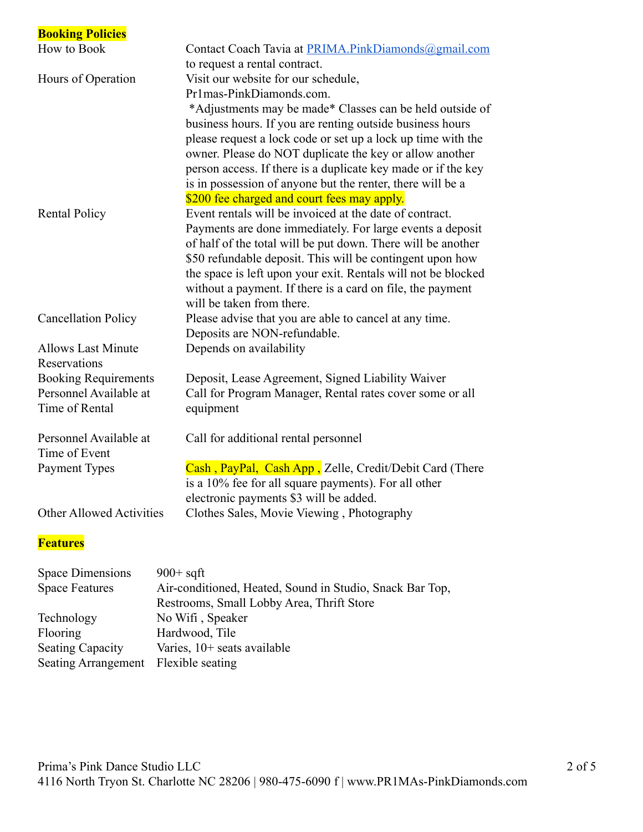| <b>Booking Policies</b>         |                                                                                                           |
|---------------------------------|-----------------------------------------------------------------------------------------------------------|
| How to Book                     | Contact Coach Tavia at PRIMA.PinkDiamonds@gmail.com                                                       |
|                                 | to request a rental contract.                                                                             |
| Hours of Operation              | Visit our website for our schedule,                                                                       |
|                                 | Pr1mas-PinkDiamonds.com.                                                                                  |
|                                 | *Adjustments may be made* Classes can be held outside of                                                  |
|                                 | business hours. If you are renting outside business hours                                                 |
|                                 | please request a lock code or set up a lock up time with the                                              |
|                                 | owner. Please do NOT duplicate the key or allow another                                                   |
|                                 | person access. If there is a duplicate key made or if the key                                             |
|                                 | is in possession of anyone but the renter, there will be a<br>\$200 fee charged and court fees may apply. |
| <b>Rental Policy</b>            | Event rentals will be invoiced at the date of contract.                                                   |
|                                 | Payments are done immediately. For large events a deposit                                                 |
|                                 | of half of the total will be put down. There will be another                                              |
|                                 | \$50 refundable deposit. This will be contingent upon how                                                 |
|                                 | the space is left upon your exit. Rentals will not be blocked                                             |
|                                 | without a payment. If there is a card on file, the payment                                                |
|                                 | will be taken from there.                                                                                 |
| <b>Cancellation Policy</b>      | Please advise that you are able to cancel at any time.                                                    |
|                                 | Deposits are NON-refundable.                                                                              |
| <b>Allows Last Minute</b>       | Depends on availability                                                                                   |
| Reservations                    |                                                                                                           |
| <b>Booking Requirements</b>     | Deposit, Lease Agreement, Signed Liability Waiver                                                         |
| Personnel Available at          | Call for Program Manager, Rental rates cover some or all                                                  |
| Time of Rental                  | equipment                                                                                                 |
| Personnel Available at          | Call for additional rental personnel                                                                      |
| Time of Event                   |                                                                                                           |
| Payment Types                   | Cash, PayPal, Cash App, Zelle, Credit/Debit Card (There                                                   |
|                                 | is a 10% fee for all square payments). For all other                                                      |
|                                 | electronic payments \$3 will be added.                                                                    |
| <b>Other Allowed Activities</b> | Clothes Sales, Movie Viewing, Photography                                                                 |
|                                 |                                                                                                           |
| <b>Features</b>                 |                                                                                                           |

### Space Dimensions 900+ sqft<br>Space Features Air-condit Air-conditioned, Heated, Sound in Studio, Snack Bar Top, Restrooms, Small Lobby Area, Thrift Store Technology No Wifi , Speaker<br>Flooring Hardwood, Tile Hardwood, Tile Seating Capacity Varies, 10+ seats available Seating Arrangement Flexible seating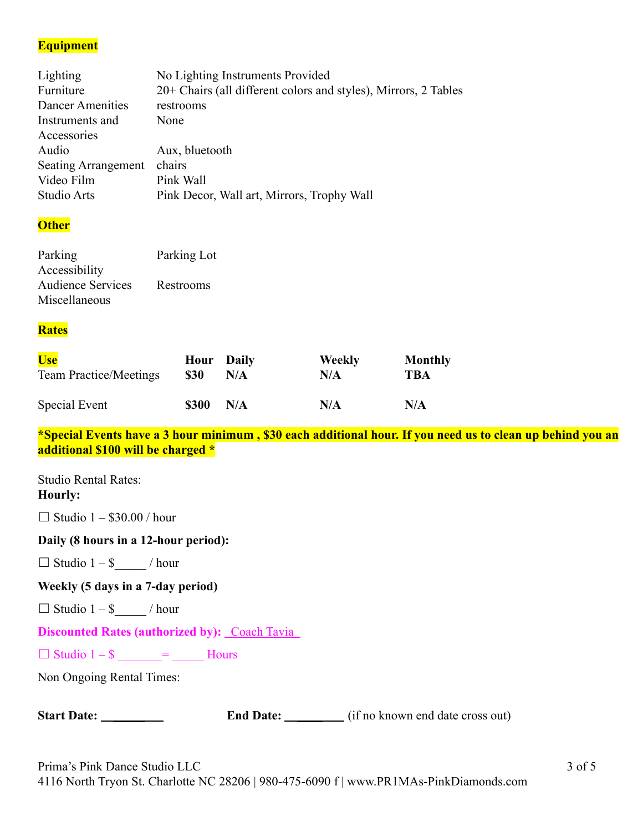## **Equipment**

| No Lighting Instruments Provided                                |
|-----------------------------------------------------------------|
| 20+ Chairs (all different colors and styles), Mirrors, 2 Tables |
| restrooms                                                       |
| None                                                            |
|                                                                 |
| Aux, bluetooth                                                  |
| chairs<br><b>Seating Arrangement</b>                            |
| Pink Wall                                                       |
| Pink Decor, Wall art, Mirrors, Trophy Wall                      |
|                                                                 |

#### **Other**

| Parking                  | Parking Lot |
|--------------------------|-------------|
| Accessibility            |             |
| <b>Audience Services</b> | Restrooms   |
| Miscellaneous            |             |

#### **Rates**

| <b>Use</b>                    | <b>Hour</b> Daily | N/A | Weekly | Monthly |
|-------------------------------|-------------------|-----|--------|---------|
| <b>Team Practice/Meetings</b> | <b>\$30</b>       |     | N/A    | TBA     |
| Special Event                 | <b>\$300</b>      | N/A | N/A    | N/A     |

**\*Special Events have a 3 hour minimum , \$30 each additional hour. If you need us to clean up behind you an additional \$100 will be charged \***

Studio Rental Rates: **Hourly:**

 $\Box$  Studio 1 – \$30.00 / hour

#### **Daily (8 hours in a 12-hour period):**

 $\Box$  Studio 1 – \$ / hour

**Weekly (5 days in a 7-day period)**

 $\Box$  Studio 1 – \$ / hour

**Discounted Rates (authorized by):** Coach Tavia

 $\Box$  Studio 1 – \$  $\qquad$  =  $\qquad$  Hours

Non Ongoing Rental Times:

| <b>Start Date:</b> |  |
|--------------------|--|
|--------------------|--|

**End Date:** \_\_\_\_\_\_\_\_ (if no known end date cross out)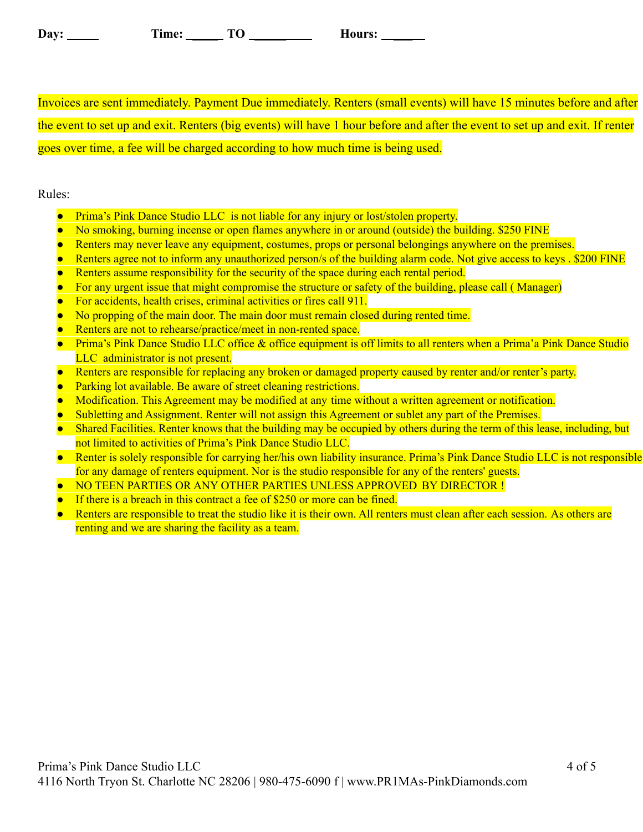| Day: | ime: | — <i>—</i><br>∼ | <b>Aours:</b> |
|------|------|-----------------|---------------|
|------|------|-----------------|---------------|

Invoices are sent immediately. Payment Due immediately. Renters (small events) will have 15 minutes before and after the event to set up and exit. Renters (big events) will have 1 hour before and after the event to set up and exit. If renter goes over time, a fee will be charged according to how much time is being used.

#### Rules:

- Prima's Pink Dance Studio LLC is not liable for any injury or lost/stolen property.
- No smoking, burning incense or open flames anywhere in or around (outside) the building. \$250 FINE
- Renters may never leave any equipment, costumes, props or personal belongings anywhere on the premises.
- Renters agree not to inform any unauthorized person/s of the building alarm code. Not give access to keys . \$200 FINE
- Renters assume responsibility for the security of the space during each rental period.
- For any urgent issue that might compromise the structure or safety of the building, please call (Manager)
- For accidents, health crises, criminal activities or fires call 911.
- No propping of the main door. The main door must remain closed during rented time.
- Renters are not to rehearse/practice/meet in non-rented space.
- Prima's Pink Dance Studio LLC office & office equipment is off limits to all renters when a Prima'a Pink Dance Studio LLC administrator is not present.
- Renters are responsible for replacing any broken or damaged property caused by renter and/or renter's party.
- **•** Parking lot available. Be aware of street cleaning restrictions.
- Modification. This Agreement may be modified at any time without a written agreement or notification.
- Subletting and Assignment. Renter will not assign this Agreement or sublet any part of the Premises.
- Shared Facilities. Renter knows that the building may be occupied by others during the term of this lease, including, but not limited to activities of Prima's Pink Dance Studio LLC.
- Renter is solely responsible for carrying her/his own liability insurance. Prima's Pink Dance Studio LLC is not responsible for any damage of renters equipment. Nor is the studio responsible for any of the renters' guests.
- NO TEEN PARTIES OR ANY OTHER PARTIES UNLESS APPROVED BY DIRECTOR !
- If there is a breach in this contract a fee of  $$250$  or more can be fined.
- Renters are responsible to treat the studio like it is their own. All renters must clean after each session. As others are renting and we are sharing the facility as a team.